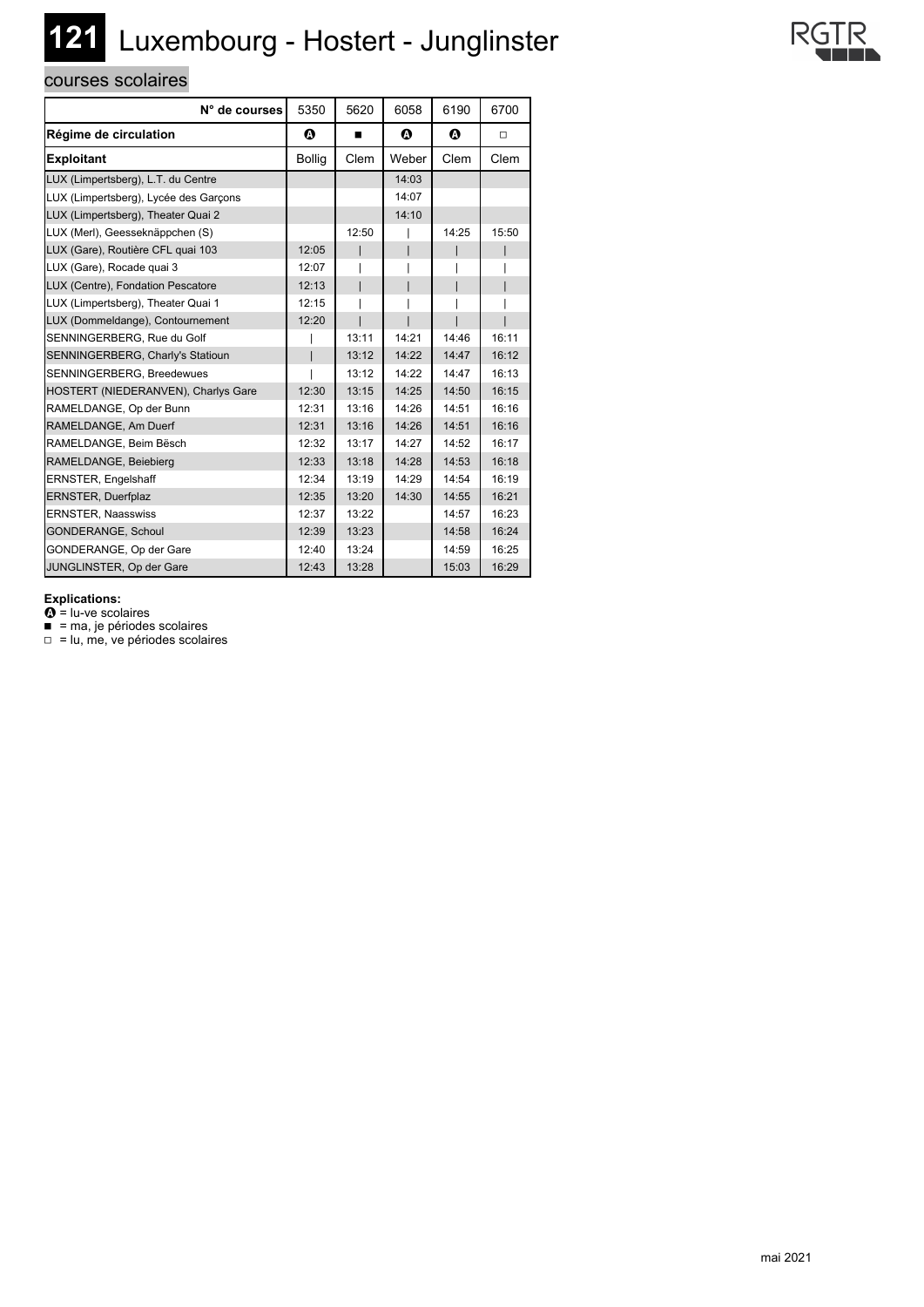## **121** Luxembourg - Hostert - Junglinster

## courses scolaires

| N° de courses                         | 5350                  | 5620  | 6058  | 6190                  | 6700  |
|---------------------------------------|-----------------------|-------|-------|-----------------------|-------|
| Régime de circulation                 | $\boldsymbol{\Omega}$ | ■     | Ø     | $\boldsymbol{\Omega}$ | □     |
| <b>Exploitant</b>                     | <b>Bollig</b>         | Clem  | Weber | Clem                  | Clem  |
| LUX (Limpertsberg), L.T. du Centre    |                       |       | 14:03 |                       |       |
| LUX (Limpertsberg), Lycée des Garçons |                       |       | 14:07 |                       |       |
| LUX (Limpertsberg), Theater Quai 2    |                       |       | 14:10 |                       |       |
| LUX (Merl), Geesseknäppchen (S)       |                       | 12:50 |       | 14:25                 | 15:50 |
| LUX (Gare), Routière CFL quai 103     | 12:05                 |       |       |                       |       |
| LUX (Gare), Rocade quai 3             | 12:07                 |       |       |                       |       |
| LUX (Centre), Fondation Pescatore     | 12:13                 |       |       |                       |       |
| LUX (Limpertsberg), Theater Quai 1    | 12:15                 |       |       |                       |       |
| LUX (Dommeldange), Contournement      | 12:20                 |       |       |                       |       |
| SENNINGERBERG, Rue du Golf            |                       | 13:11 | 14:21 | 14:46                 | 16:11 |
| SENNINGERBERG, Charly's Statioun      |                       | 13:12 | 14:22 | 14:47                 | 16:12 |
| SENNINGERBERG, Breedewues             |                       | 13:12 | 14:22 | 14:47                 | 16:13 |
| HOSTERT (NIEDERANVEN), Charlys Gare   | 12:30                 | 13:15 | 14:25 | 14:50                 | 16:15 |
| RAMELDANGE, Op der Bunn               | 12:31                 | 13:16 | 14:26 | 14:51                 | 16:16 |
| RAMELDANGE, Am Duerf                  | 12:31                 | 13:16 | 14:26 | 14:51                 | 16:16 |
| RAMELDANGE, Beim Bësch                | 12:32                 | 13:17 | 14:27 | 14:52                 | 16:17 |
| RAMELDANGE, Beiebierg                 | 12:33                 | 13:18 | 14:28 | 14:53                 | 16:18 |
| ERNSTER, Engelshaff                   | 12:34                 | 13:19 | 14:29 | 14:54                 | 16:19 |
| ERNSTER, Duerfplaz                    | 12:35                 | 13:20 | 14:30 | 14:55                 | 16:21 |
| <b>ERNSTER, Naasswiss</b>             | 12:37                 | 13:22 |       | 14:57                 | 16:23 |
| GONDERANGE, Schoul                    | 12:39                 | 13:23 |       | 14:58                 | 16:24 |
| GONDERANGE, Op der Gare               | 12:40                 | 13:24 |       | 14:59                 | 16:25 |
| JUNGLINSTER, Op der Gare              | 12:43                 | 13:28 |       | 15:03                 | 16:29 |

**Explications:**

 $\mathbf{\Omega}$  = lu-ve scolaires

■ = ma, je périodes scolaires

□ = lu, me, ve périodes scolaires